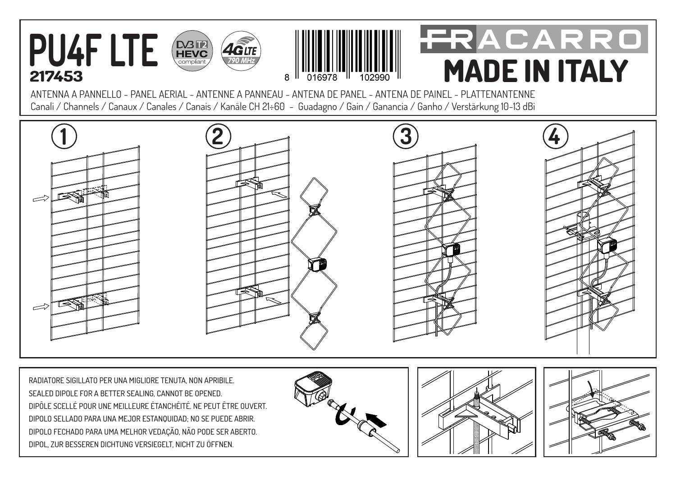

**217453**



## FRACARRO **MADE IN ITALY**

ANTENNA A PANNELLO - PANEL AERIAL - ANTENNE A PANNEAU - ANTENA DE PANEL - ANTENA DE PAINEL - PLATTENANTENNE Canali / Channels / Canaux / Canales / Canais / Kanäle CH 21÷60 - Guadagno / Gain / Ganancia / Ganho / Verstärkung 10-13 dBi



RADIATORE SIGILLATO PER UNA MIGLIORE TENUTA, NON APRIBILE. SEALED DIPOLE FOR A BETTER SEALING, CANNOT BE OPENED. DIPÔLE SCELLÉ POUR UNE MEILLEURE ÉTANCHÉITÉ. NE PEUT ÊTRE OUVERT. DIPOLO SELLADO PARA UNA MEJOR ESTANQUIDAD; NO SE PUEDE ABRIR. DIPOLO FECHADO PARA UMA MELHOR VEDAÇÃO, NÃO PODE SER ABERTO. DIPOL, ZUR BESSEREN DICHTUNG VERSIEGELT, NICHT ZU ÖFFNEN.